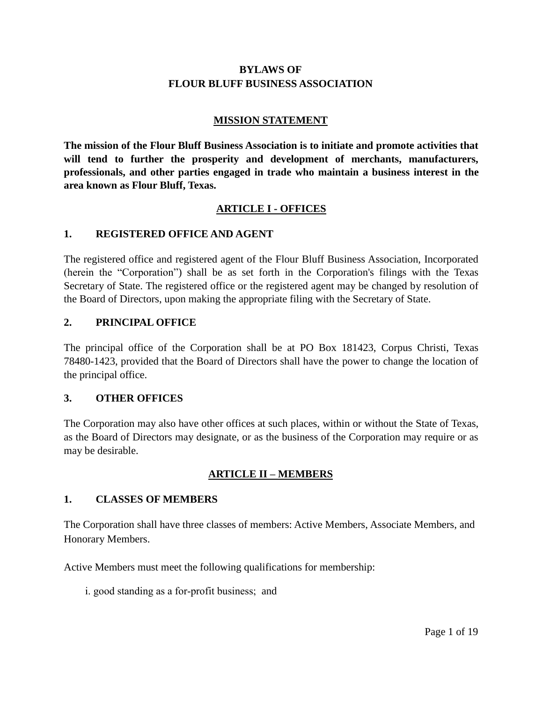### **BYLAWS OF FLOUR BLUFF BUSINESS ASSOCIATION**

### **MISSION STATEMENT**

**The mission of the Flour Bluff Business Association is to initiate and promote activities that will tend to further the prosperity and development of merchants, manufacturers, professionals, and other parties engaged in trade who maintain a business interest in the area known as Flour Bluff, Texas.**

### **ARTICLE I - OFFICES**

#### **1. REGISTERED OFFICE AND AGENT**

The registered office and registered agent of the Flour Bluff Business Association, Incorporated (herein the "Corporation") shall be as set forth in the Corporation's filings with the Texas Secretary of State. The registered office or the registered agent may be changed by resolution of the Board of Directors, upon making the appropriate filing with the Secretary of State.

#### **2. PRINCIPAL OFFICE**

The principal office of the Corporation shall be at PO Box 181423, Corpus Christi, Texas 78480-1423, provided that the Board of Directors shall have the power to change the location of the principal office.

#### **3. OTHER OFFICES**

The Corporation may also have other offices at such places, within or without the State of Texas, as the Board of Directors may designate, or as the business of the Corporation may require or as may be desirable.

#### **ARTICLE II – MEMBERS**

#### **1. CLASSES OF MEMBERS**

The Corporation shall have three classes of members: Active Members, Associate Members, and Honorary Members.

Active Members must meet the following qualifications for membership:

i. good standing as a for-profit business; and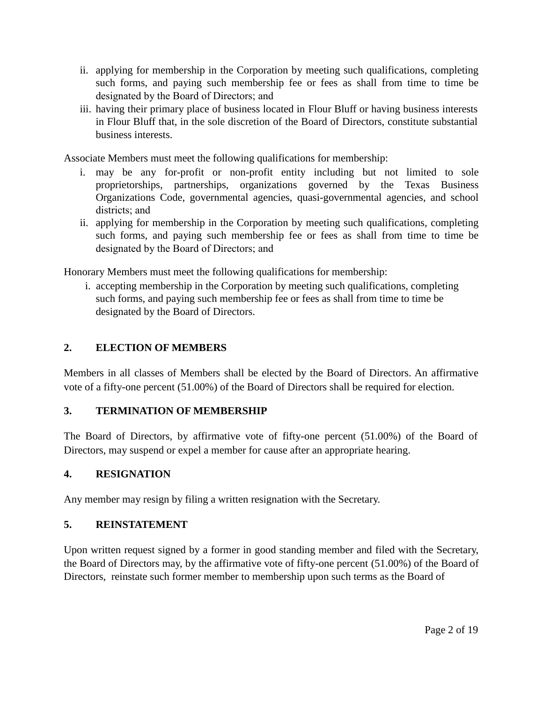- ii. applying for membership in the Corporation by meeting such qualifications, completing such forms, and paying such membership fee or fees as shall from time to time be designated by the Board of Directors; and
- iii. having their primary place of business located in Flour Bluff or having business interests in Flour Bluff that, in the sole discretion of the Board of Directors, constitute substantial business interests.

Associate Members must meet the following qualifications for membership:

- i. may be any for-profit or non-profit entity including but not limited to sole proprietorships, partnerships, organizations governed by the Texas Business Organizations Code, governmental agencies, quasi-governmental agencies, and school districts; and
- ii. applying for membership in the Corporation by meeting such qualifications, completing such forms, and paying such membership fee or fees as shall from time to time be designated by the Board of Directors; and

Honorary Members must meet the following qualifications for membership:

 i. accepting membership in the Corporation by meeting such qualifications, completing such forms, and paying such membership fee or fees as shall from time to time be designated by the Board of Directors.

### **2. ELECTION OF MEMBERS**

Members in all classes of Members shall be elected by the Board of Directors. An affirmative vote of a fifty-one percent (51.00%) of the Board of Directors shall be required for election.

#### **3. TERMINATION OF MEMBERSHIP**

The Board of Directors, by affirmative vote of fifty-one percent (51.00%) of the Board of Directors, may suspend or expel a member for cause after an appropriate hearing.

#### **4. RESIGNATION**

Any member may resign by filing a written resignation with the Secretary.

#### **5. REINSTATEMENT**

Upon written request signed by a former in good standing member and filed with the Secretary, the Board of Directors may, by the affirmative vote of fifty-one percent (51.00%) of the Board of Directors, reinstate such former member to membership upon such terms as the Board of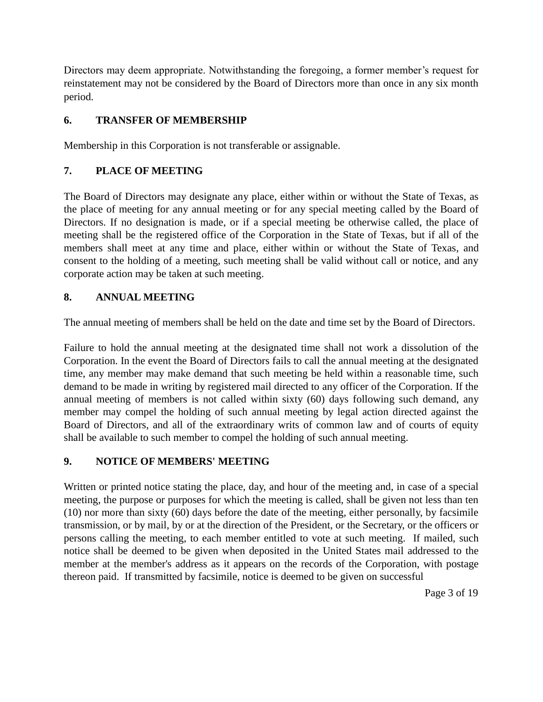Directors may deem appropriate. Notwithstanding the foregoing, a former member's request for reinstatement may not be considered by the Board of Directors more than once in any six month period.

### **6. TRANSFER OF MEMBERSHIP**

Membership in this Corporation is not transferable or assignable.

### **7. PLACE OF MEETING**

The Board of Directors may designate any place, either within or without the State of Texas, as the place of meeting for any annual meeting or for any special meeting called by the Board of Directors. If no designation is made, or if a special meeting be otherwise called, the place of meeting shall be the registered office of the Corporation in the State of Texas, but if all of the members shall meet at any time and place, either within or without the State of Texas, and consent to the holding of a meeting, such meeting shall be valid without call or notice, and any corporate action may be taken at such meeting.

#### **8. ANNUAL MEETING**

The annual meeting of members shall be held on the date and time set by the Board of Directors.

Failure to hold the annual meeting at the designated time shall not work a dissolution of the Corporation. In the event the Board of Directors fails to call the annual meeting at the designated time, any member may make demand that such meeting be held within a reasonable time, such demand to be made in writing by registered mail directed to any officer of the Corporation. If the annual meeting of members is not called within sixty (60) days following such demand, any member may compel the holding of such annual meeting by legal action directed against the Board of Directors, and all of the extraordinary writs of common law and of courts of equity shall be available to such member to compel the holding of such annual meeting.

#### **9. NOTICE OF MEMBERS' MEETING**

Written or printed notice stating the place, day, and hour of the meeting and, in case of a special meeting, the purpose or purposes for which the meeting is called, shall be given not less than ten (10) nor more than sixty (60) days before the date of the meeting, either personally, by facsimile transmission, or by mail, by or at the direction of the President, or the Secretary, or the officers or persons calling the meeting, to each member entitled to vote at such meeting. If mailed, such notice shall be deemed to be given when deposited in the United States mail addressed to the member at the member's address as it appears on the records of the Corporation, with postage thereon paid. If transmitted by facsimile, notice is deemed to be given on successful

Page 3 of 19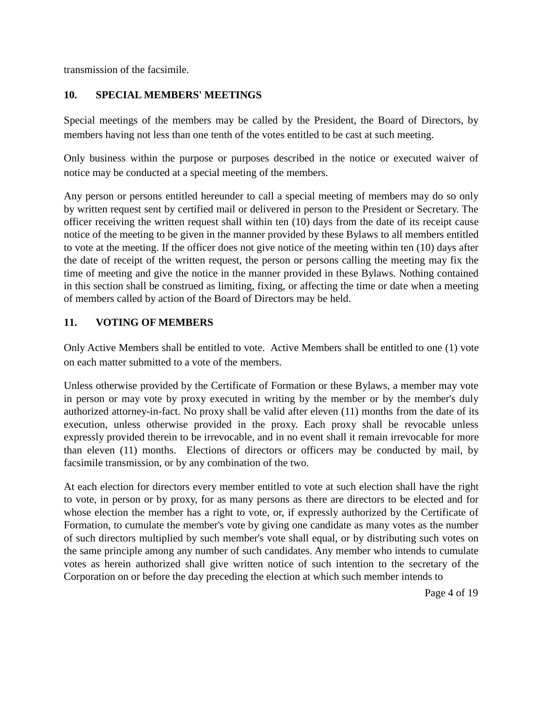transmission of the facsimile.

### **10. SPECIAL MEMBERS' MEETINGS**

Special meetings of the members may be called by the President, the Board of Directors, by members having not less than one tenth of the votes entitled to be cast at such meeting.

Only business within the purpose or purposes described in the notice or executed waiver of notice may be conducted at a special meeting of the members.

Any person or persons entitled hereunder to call a special meeting of members may do so only by written request sent by certified mail or delivered in person to the President or Secretary. The officer receiving the written request shall within ten (10) days from the date of its receipt cause notice of the meeting to be given in the manner provided by these Bylaws to all members entitled to vote at the meeting. If the officer does not give notice of the meeting within ten (10) days after the date of receipt of the written request, the person or persons calling the meeting may fix the time of meeting and give the notice in the manner provided in these Bylaws. Nothing contained in this section shall be construed as limiting, fixing, or affecting the time or date when a meeting of members called by action of the Board of Directors may be held.

### **11. VOTING OF MEMBERS**

Only Active Members shall be entitled to vote. Active Members shall be entitled to one (1) vote on each matter submitted to a vote of the members.

Unless otherwise provided by the Certificate of Formation or these Bylaws, a member may vote in person or may vote by proxy executed in writing by the member or by the member's duly authorized attorney-in-fact. No proxy shall be valid after eleven (11) months from the date of its execution, unless otherwise provided in the proxy. Each proxy shall be revocable unless expressly provided therein to be irrevocable, and in no event shall it remain irrevocable for more than eleven (11) months. Elections of directors or officers may be conducted by mail, by facsimile transmission, or by any combination of the two.

At each election for directors every member entitled to vote at such election shall have the right to vote, in person or by proxy, for as many persons as there are directors to be elected and for whose election the member has a right to vote, or, if expressly authorized by the Certificate of Formation, to cumulate the member's vote by giving one candidate as many votes as the number of such directors multiplied by such member's vote shall equal, or by distributing such votes on the same principle among any number of such candidates. Any member who intends to cumulate votes as herein authorized shall give written notice of such intention to the secretary of the Corporation on or before the day preceding the election at which such member intends to

Page 4 of 19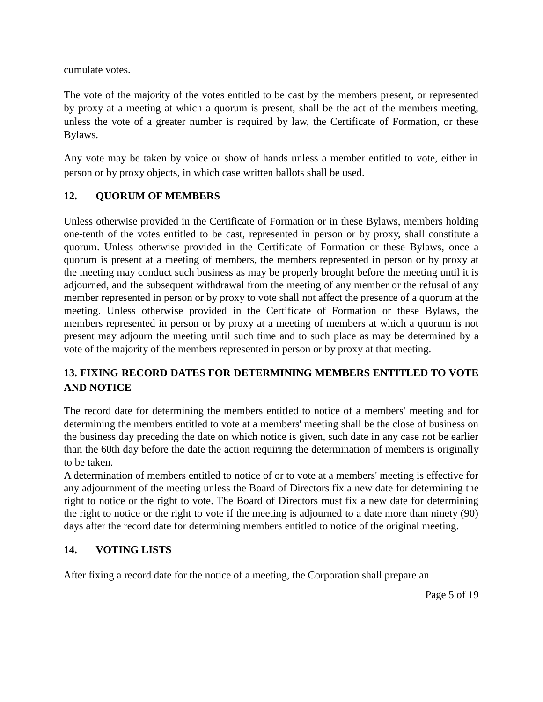cumulate votes.

The vote of the majority of the votes entitled to be cast by the members present, or represented by proxy at a meeting at which a quorum is present, shall be the act of the members meeting, unless the vote of a greater number is required by law, the Certificate of Formation, or these Bylaws.

Any vote may be taken by voice or show of hands unless a member entitled to vote, either in person or by proxy objects, in which case written ballots shall be used.

# **12. QUORUM OF MEMBERS**

Unless otherwise provided in the Certificate of Formation or in these Bylaws, members holding one-tenth of the votes entitled to be cast, represented in person or by proxy, shall constitute a quorum. Unless otherwise provided in the Certificate of Formation or these Bylaws, once a quorum is present at a meeting of members, the members represented in person or by proxy at the meeting may conduct such business as may be properly brought before the meeting until it is adjourned, and the subsequent withdrawal from the meeting of any member or the refusal of any member represented in person or by proxy to vote shall not affect the presence of a quorum at the meeting. Unless otherwise provided in the Certificate of Formation or these Bylaws, the members represented in person or by proxy at a meeting of members at which a quorum is not present may adjourn the meeting until such time and to such place as may be determined by a vote of the majority of the members represented in person or by proxy at that meeting.

# **13. FIXING RECORD DATES FOR DETERMINING MEMBERS ENTITLED TO VOTE AND NOTICE**

The record date for determining the members entitled to notice of a members' meeting and for determining the members entitled to vote at a members' meeting shall be the close of business on the business day preceding the date on which notice is given, such date in any case not be earlier than the 60th day before the date the action requiring the determination of members is originally to be taken.

A determination of members entitled to notice of or to vote at a members' meeting is effective for any adjournment of the meeting unless the Board of Directors fix a new date for determining the right to notice or the right to vote. The Board of Directors must fix a new date for determining the right to notice or the right to vote if the meeting is adjourned to a date more than ninety (90) days after the record date for determining members entitled to notice of the original meeting.

## **14. VOTING LISTS**

After fixing a record date for the notice of a meeting, the Corporation shall prepare an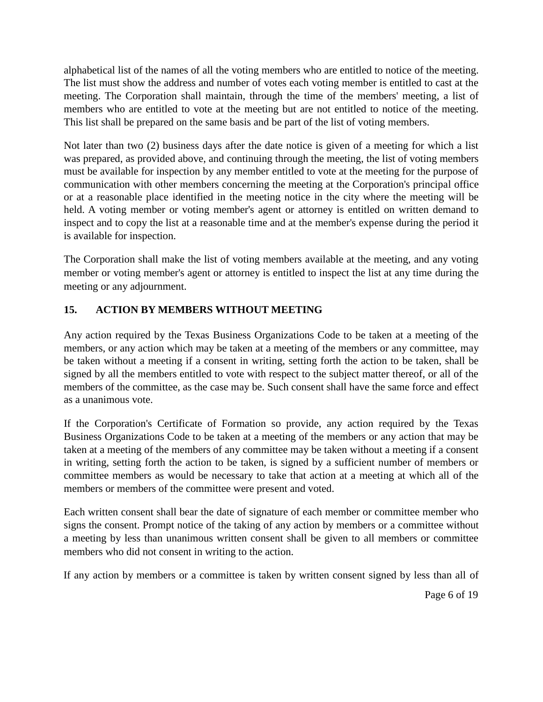alphabetical list of the names of all the voting members who are entitled to notice of the meeting. The list must show the address and number of votes each voting member is entitled to cast at the meeting. The Corporation shall maintain, through the time of the members' meeting, a list of members who are entitled to vote at the meeting but are not entitled to notice of the meeting. This list shall be prepared on the same basis and be part of the list of voting members.

Not later than two (2) business days after the date notice is given of a meeting for which a list was prepared, as provided above, and continuing through the meeting, the list of voting members must be available for inspection by any member entitled to vote at the meeting for the purpose of communication with other members concerning the meeting at the Corporation's principal office or at a reasonable place identified in the meeting notice in the city where the meeting will be held. A voting member or voting member's agent or attorney is entitled on written demand to inspect and to copy the list at a reasonable time and at the member's expense during the period it is available for inspection.

The Corporation shall make the list of voting members available at the meeting, and any voting member or voting member's agent or attorney is entitled to inspect the list at any time during the meeting or any adjournment.

# **15. ACTION BY MEMBERS WITHOUT MEETING**

Any action required by the Texas Business Organizations Code to be taken at a meeting of the members, or any action which may be taken at a meeting of the members or any committee, may be taken without a meeting if a consent in writing, setting forth the action to be taken, shall be signed by all the members entitled to vote with respect to the subject matter thereof, or all of the members of the committee, as the case may be. Such consent shall have the same force and effect as a unanimous vote.

If the Corporation's Certificate of Formation so provide, any action required by the Texas Business Organizations Code to be taken at a meeting of the members or any action that may be taken at a meeting of the members of any committee may be taken without a meeting if a consent in writing, setting forth the action to be taken, is signed by a sufficient number of members or committee members as would be necessary to take that action at a meeting at which all of the members or members of the committee were present and voted.

Each written consent shall bear the date of signature of each member or committee member who signs the consent. Prompt notice of the taking of any action by members or a committee without a meeting by less than unanimous written consent shall be given to all members or committee members who did not consent in writing to the action.

If any action by members or a committee is taken by written consent signed by less than all of

Page 6 of 19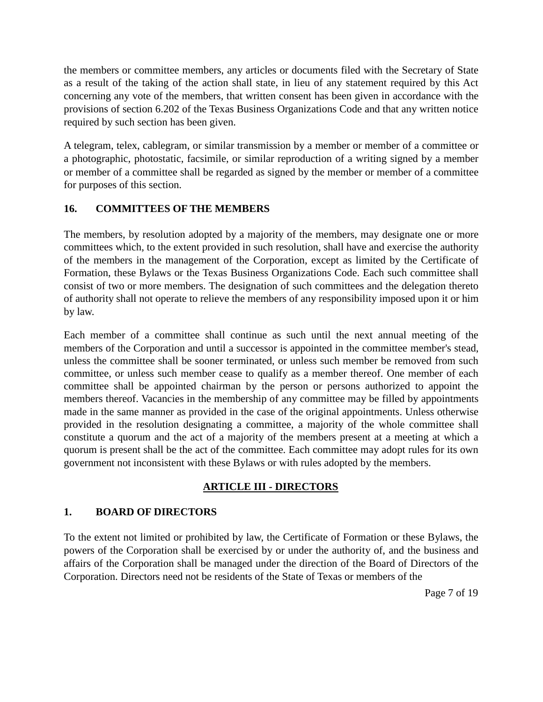the members or committee members, any articles or documents filed with the Secretary of State as a result of the taking of the action shall state, in lieu of any statement required by this Act concerning any vote of the members, that written consent has been given in accordance with the provisions of section 6.202 of the Texas Business Organizations Code and that any written notice required by such section has been given.

A telegram, telex, cablegram, or similar transmission by a member or member of a committee or a photographic, photostatic, facsimile, or similar reproduction of a writing signed by a member or member of a committee shall be regarded as signed by the member or member of a committee for purposes of this section.

### **16. COMMITTEES OF THE MEMBERS**

The members, by resolution adopted by a majority of the members, may designate one or more committees which, to the extent provided in such resolution, shall have and exercise the authority of the members in the management of the Corporation, except as limited by the Certificate of Formation, these Bylaws or the Texas Business Organizations Code. Each such committee shall consist of two or more members. The designation of such committees and the delegation thereto of authority shall not operate to relieve the members of any responsibility imposed upon it or him by law.

Each member of a committee shall continue as such until the next annual meeting of the members of the Corporation and until a successor is appointed in the committee member's stead, unless the committee shall be sooner terminated, or unless such member be removed from such committee, or unless such member cease to qualify as a member thereof. One member of each committee shall be appointed chairman by the person or persons authorized to appoint the members thereof. Vacancies in the membership of any committee may be filled by appointments made in the same manner as provided in the case of the original appointments. Unless otherwise provided in the resolution designating a committee, a majority of the whole committee shall constitute a quorum and the act of a majority of the members present at a meeting at which a quorum is present shall be the act of the committee. Each committee may adopt rules for its own government not inconsistent with these Bylaws or with rules adopted by the members.

## **ARTICLE III - DIRECTORS**

## **1. BOARD OF DIRECTORS**

To the extent not limited or prohibited by law, the Certificate of Formation or these Bylaws, the powers of the Corporation shall be exercised by or under the authority of, and the business and affairs of the Corporation shall be managed under the direction of the Board of Directors of the Corporation. Directors need not be residents of the State of Texas or members of the

Page 7 of 19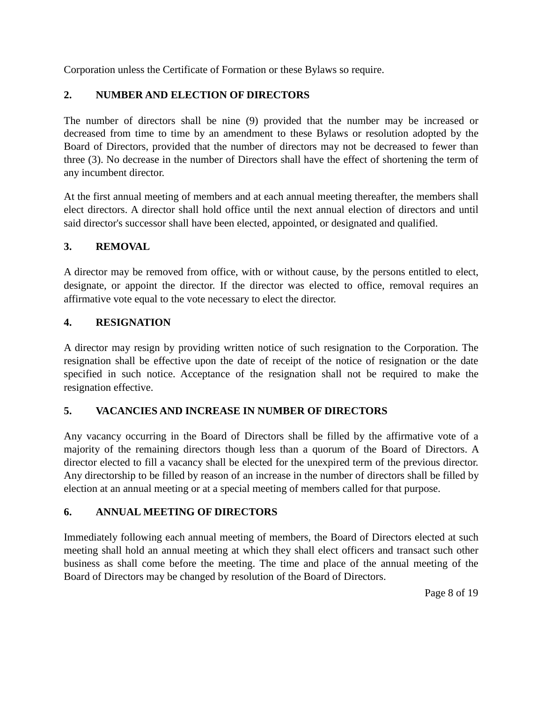Corporation unless the Certificate of Formation or these Bylaws so require.

# **2. NUMBER AND ELECTION OF DIRECTORS**

The number of directors shall be nine (9) provided that the number may be increased or decreased from time to time by an amendment to these Bylaws or resolution adopted by the Board of Directors, provided that the number of directors may not be decreased to fewer than three (3). No decrease in the number of Directors shall have the effect of shortening the term of any incumbent director.

At the first annual meeting of members and at each annual meeting thereafter, the members shall elect directors. A director shall hold office until the next annual election of directors and until said director's successor shall have been elected, appointed, or designated and qualified.

## **3. REMOVAL**

A director may be removed from office, with or without cause, by the persons entitled to elect, designate, or appoint the director. If the director was elected to office, removal requires an affirmative vote equal to the vote necessary to elect the director.

# **4. RESIGNATION**

A director may resign by providing written notice of such resignation to the Corporation. The resignation shall be effective upon the date of receipt of the notice of resignation or the date specified in such notice. Acceptance of the resignation shall not be required to make the resignation effective.

## **5. VACANCIES AND INCREASE IN NUMBER OF DIRECTORS**

Any vacancy occurring in the Board of Directors shall be filled by the affirmative vote of a majority of the remaining directors though less than a quorum of the Board of Directors. A director elected to fill a vacancy shall be elected for the unexpired term of the previous director. Any directorship to be filled by reason of an increase in the number of directors shall be filled by election at an annual meeting or at a special meeting of members called for that purpose.

## **6. ANNUAL MEETING OF DIRECTORS**

Immediately following each annual meeting of members, the Board of Directors elected at such meeting shall hold an annual meeting at which they shall elect officers and transact such other business as shall come before the meeting. The time and place of the annual meeting of the Board of Directors may be changed by resolution of the Board of Directors.

Page 8 of 19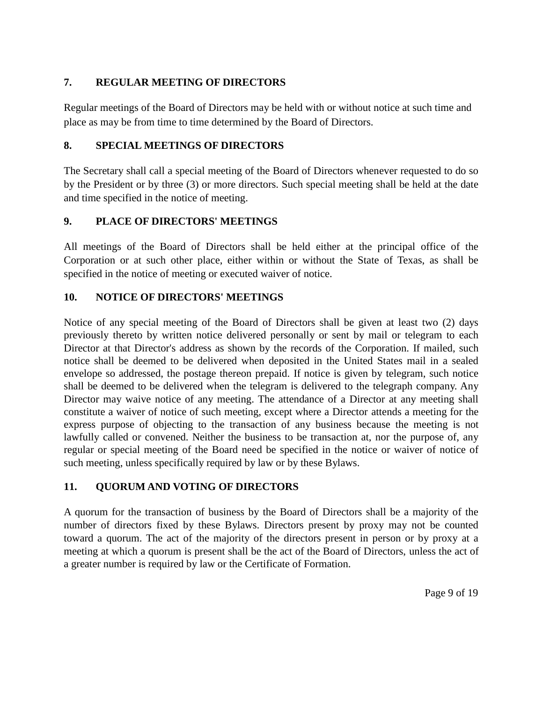### **7. REGULAR MEETING OF DIRECTORS**

Regular meetings of the Board of Directors may be held with or without notice at such time and place as may be from time to time determined by the Board of Directors.

### **8. SPECIAL MEETINGS OF DIRECTORS**

The Secretary shall call a special meeting of the Board of Directors whenever requested to do so by the President or by three (3) or more directors. Such special meeting shall be held at the date and time specified in the notice of meeting.

### **9. PLACE OF DIRECTORS' MEETINGS**

All meetings of the Board of Directors shall be held either at the principal office of the Corporation or at such other place, either within or without the State of Texas, as shall be specified in the notice of meeting or executed waiver of notice.

### **10. NOTICE OF DIRECTORS' MEETINGS**

Notice of any special meeting of the Board of Directors shall be given at least two (2) days previously thereto by written notice delivered personally or sent by mail or telegram to each Director at that Director's address as shown by the records of the Corporation. If mailed, such notice shall be deemed to be delivered when deposited in the United States mail in a sealed envelope so addressed, the postage thereon prepaid. If notice is given by telegram, such notice shall be deemed to be delivered when the telegram is delivered to the telegraph company. Any Director may waive notice of any meeting. The attendance of a Director at any meeting shall constitute a waiver of notice of such meeting, except where a Director attends a meeting for the express purpose of objecting to the transaction of any business because the meeting is not lawfully called or convened. Neither the business to be transaction at, nor the purpose of, any regular or special meeting of the Board need be specified in the notice or waiver of notice of such meeting, unless specifically required by law or by these Bylaws.

## **11. QUORUM AND VOTING OF DIRECTORS**

A quorum for the transaction of business by the Board of Directors shall be a majority of the number of directors fixed by these Bylaws. Directors present by proxy may not be counted toward a quorum. The act of the majority of the directors present in person or by proxy at a meeting at which a quorum is present shall be the act of the Board of Directors, unless the act of a greater number is required by law or the Certificate of Formation.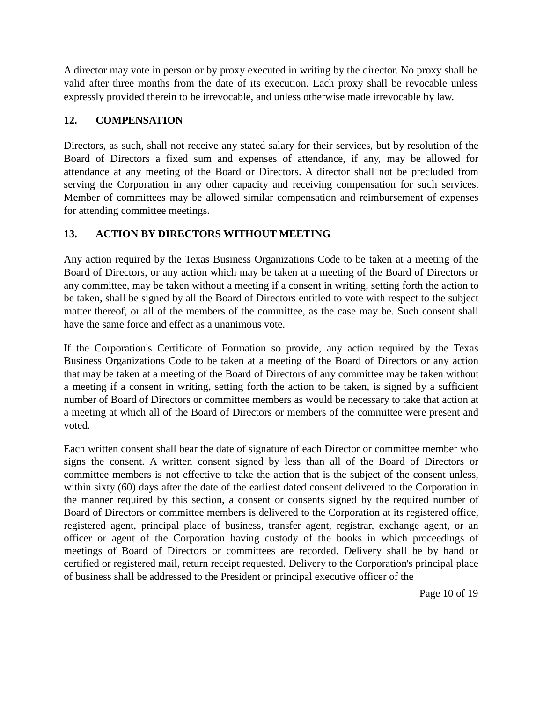A director may vote in person or by proxy executed in writing by the director. No proxy shall be valid after three months from the date of its execution. Each proxy shall be revocable unless expressly provided therein to be irrevocable, and unless otherwise made irrevocable by law.

#### **12. COMPENSATION**

Directors, as such, shall not receive any stated salary for their services, but by resolution of the Board of Directors a fixed sum and expenses of attendance, if any, may be allowed for attendance at any meeting of the Board or Directors. A director shall not be precluded from serving the Corporation in any other capacity and receiving compensation for such services. Member of committees may be allowed similar compensation and reimbursement of expenses for attending committee meetings.

#### **13. ACTION BY DIRECTORS WITHOUT MEETING**

Any action required by the Texas Business Organizations Code to be taken at a meeting of the Board of Directors, or any action which may be taken at a meeting of the Board of Directors or any committee, may be taken without a meeting if a consent in writing, setting forth the action to be taken, shall be signed by all the Board of Directors entitled to vote with respect to the subject matter thereof, or all of the members of the committee, as the case may be. Such consent shall have the same force and effect as a unanimous vote.

If the Corporation's Certificate of Formation so provide, any action required by the Texas Business Organizations Code to be taken at a meeting of the Board of Directors or any action that may be taken at a meeting of the Board of Directors of any committee may be taken without a meeting if a consent in writing, setting forth the action to be taken, is signed by a sufficient number of Board of Directors or committee members as would be necessary to take that action at a meeting at which all of the Board of Directors or members of the committee were present and voted.

Each written consent shall bear the date of signature of each Director or committee member who signs the consent. A written consent signed by less than all of the Board of Directors or committee members is not effective to take the action that is the subject of the consent unless, within sixty (60) days after the date of the earliest dated consent delivered to the Corporation in the manner required by this section, a consent or consents signed by the required number of Board of Directors or committee members is delivered to the Corporation at its registered office, registered agent, principal place of business, transfer agent, registrar, exchange agent, or an officer or agent of the Corporation having custody of the books in which proceedings of meetings of Board of Directors or committees are recorded. Delivery shall be by hand or certified or registered mail, return receipt requested. Delivery to the Corporation's principal place of business shall be addressed to the President or principal executive officer of the

Page 10 of 19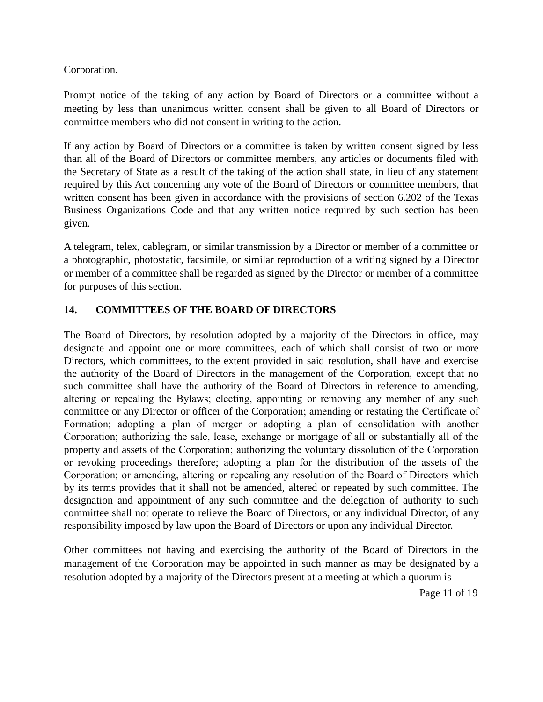Corporation.

Prompt notice of the taking of any action by Board of Directors or a committee without a meeting by less than unanimous written consent shall be given to all Board of Directors or committee members who did not consent in writing to the action.

If any action by Board of Directors or a committee is taken by written consent signed by less than all of the Board of Directors or committee members, any articles or documents filed with the Secretary of State as a result of the taking of the action shall state, in lieu of any statement required by this Act concerning any vote of the Board of Directors or committee members, that written consent has been given in accordance with the provisions of section 6.202 of the Texas Business Organizations Code and that any written notice required by such section has been given.

A telegram, telex, cablegram, or similar transmission by a Director or member of a committee or a photographic, photostatic, facsimile, or similar reproduction of a writing signed by a Director or member of a committee shall be regarded as signed by the Director or member of a committee for purposes of this section.

### **14. COMMITTEES OF THE BOARD OF DIRECTORS**

The Board of Directors, by resolution adopted by a majority of the Directors in office, may designate and appoint one or more committees, each of which shall consist of two or more Directors, which committees, to the extent provided in said resolution, shall have and exercise the authority of the Board of Directors in the management of the Corporation, except that no such committee shall have the authority of the Board of Directors in reference to amending, altering or repealing the Bylaws; electing, appointing or removing any member of any such committee or any Director or officer of the Corporation; amending or restating the Certificate of Formation; adopting a plan of merger or adopting a plan of consolidation with another Corporation; authorizing the sale, lease, exchange or mortgage of all or substantially all of the property and assets of the Corporation; authorizing the voluntary dissolution of the Corporation or revoking proceedings therefore; adopting a plan for the distribution of the assets of the Corporation; or amending, altering or repealing any resolution of the Board of Directors which by its terms provides that it shall not be amended, altered or repeated by such committee. The designation and appointment of any such committee and the delegation of authority to such committee shall not operate to relieve the Board of Directors, or any individual Director, of any responsibility imposed by law upon the Board of Directors or upon any individual Director.

Other committees not having and exercising the authority of the Board of Directors in the management of the Corporation may be appointed in such manner as may be designated by a resolution adopted by a majority of the Directors present at a meeting at which a quorum is

Page 11 of 19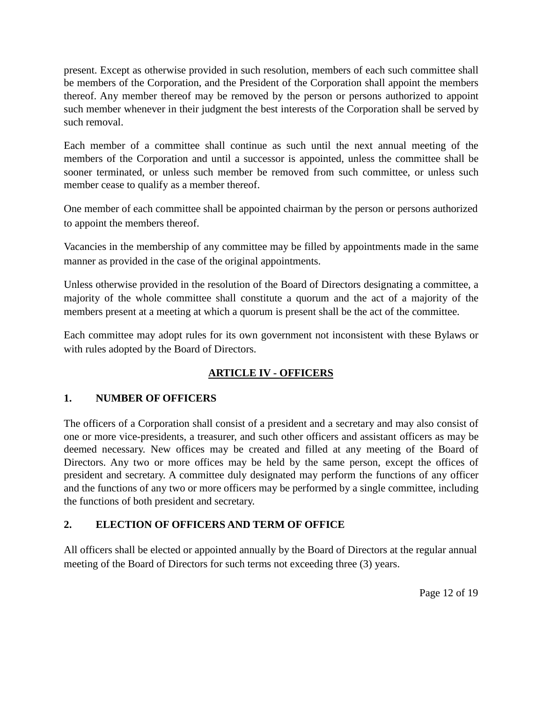present. Except as otherwise provided in such resolution, members of each such committee shall be members of the Corporation, and the President of the Corporation shall appoint the members thereof. Any member thereof may be removed by the person or persons authorized to appoint such member whenever in their judgment the best interests of the Corporation shall be served by such removal.

Each member of a committee shall continue as such until the next annual meeting of the members of the Corporation and until a successor is appointed, unless the committee shall be sooner terminated, or unless such member be removed from such committee, or unless such member cease to qualify as a member thereof.

One member of each committee shall be appointed chairman by the person or persons authorized to appoint the members thereof.

Vacancies in the membership of any committee may be filled by appointments made in the same manner as provided in the case of the original appointments.

Unless otherwise provided in the resolution of the Board of Directors designating a committee, a majority of the whole committee shall constitute a quorum and the act of a majority of the members present at a meeting at which a quorum is present shall be the act of the committee.

Each committee may adopt rules for its own government not inconsistent with these Bylaws or with rules adopted by the Board of Directors.

## **ARTICLE IV - OFFICERS**

#### **1. NUMBER OF OFFICERS**

The officers of a Corporation shall consist of a president and a secretary and may also consist of one or more vice-presidents, a treasurer, and such other officers and assistant officers as may be deemed necessary. New offices may be created and filled at any meeting of the Board of Directors. Any two or more offices may be held by the same person, except the offices of president and secretary. A committee duly designated may perform the functions of any officer and the functions of any two or more officers may be performed by a single committee, including the functions of both president and secretary.

## **2. ELECTION OF OFFICERS AND TERM OF OFFICE**

All officers shall be elected or appointed annually by the Board of Directors at the regular annual meeting of the Board of Directors for such terms not exceeding three (3) years.

Page 12 of 19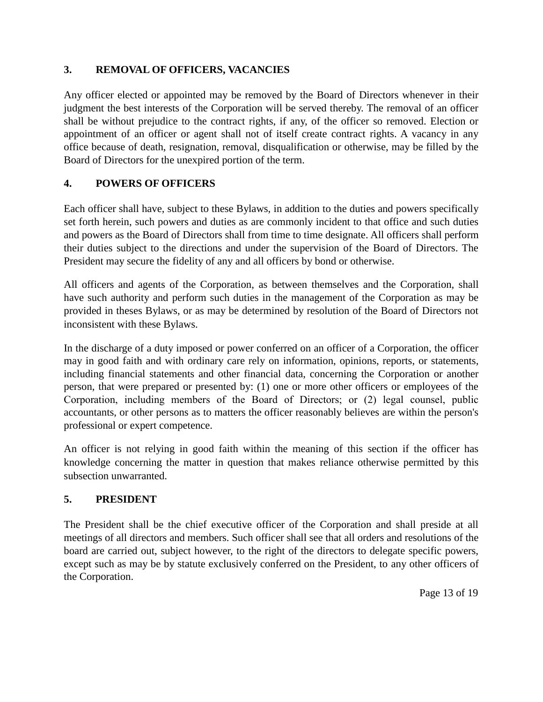#### **3. REMOVAL OF OFFICERS, VACANCIES**

Any officer elected or appointed may be removed by the Board of Directors whenever in their judgment the best interests of the Corporation will be served thereby. The removal of an officer shall be without prejudice to the contract rights, if any, of the officer so removed. Election or appointment of an officer or agent shall not of itself create contract rights. A vacancy in any office because of death, resignation, removal, disqualification or otherwise, may be filled by the Board of Directors for the unexpired portion of the term.

### **4. POWERS OF OFFICERS**

Each officer shall have, subject to these Bylaws, in addition to the duties and powers specifically set forth herein, such powers and duties as are commonly incident to that office and such duties and powers as the Board of Directors shall from time to time designate. All officers shall perform their duties subject to the directions and under the supervision of the Board of Directors. The President may secure the fidelity of any and all officers by bond or otherwise.

All officers and agents of the Corporation, as between themselves and the Corporation, shall have such authority and perform such duties in the management of the Corporation as may be provided in theses Bylaws, or as may be determined by resolution of the Board of Directors not inconsistent with these Bylaws.

In the discharge of a duty imposed or power conferred on an officer of a Corporation, the officer may in good faith and with ordinary care rely on information, opinions, reports, or statements, including financial statements and other financial data, concerning the Corporation or another person, that were prepared or presented by: (1) one or more other officers or employees of the Corporation, including members of the Board of Directors; or (2) legal counsel, public accountants, or other persons as to matters the officer reasonably believes are within the person's professional or expert competence.

An officer is not relying in good faith within the meaning of this section if the officer has knowledge concerning the matter in question that makes reliance otherwise permitted by this subsection unwarranted.

#### **5. PRESIDENT**

The President shall be the chief executive officer of the Corporation and shall preside at all meetings of all directors and members. Such officer shall see that all orders and resolutions of the board are carried out, subject however, to the right of the directors to delegate specific powers, except such as may be by statute exclusively conferred on the President, to any other officers of the Corporation.

Page 13 of 19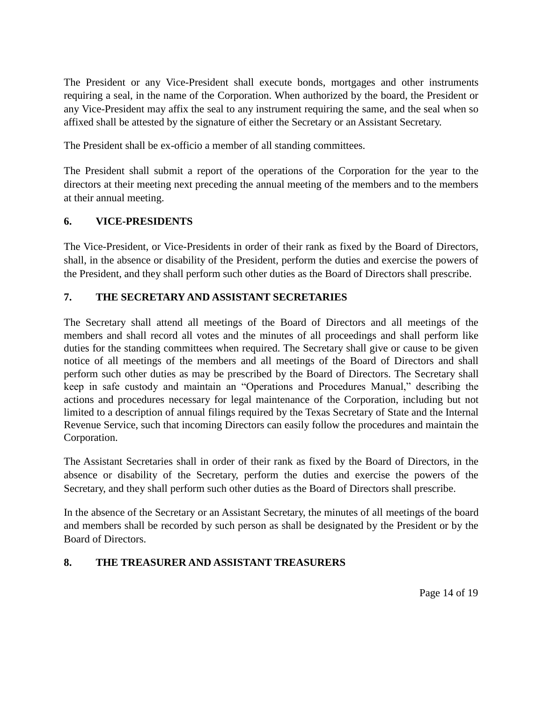The President or any Vice-President shall execute bonds, mortgages and other instruments requiring a seal, in the name of the Corporation. When authorized by the board, the President or any Vice-President may affix the seal to any instrument requiring the same, and the seal when so affixed shall be attested by the signature of either the Secretary or an Assistant Secretary.

The President shall be ex-officio a member of all standing committees.

The President shall submit a report of the operations of the Corporation for the year to the directors at their meeting next preceding the annual meeting of the members and to the members at their annual meeting.

### **6. VICE-PRESIDENTS**

The Vice-President, or Vice-Presidents in order of their rank as fixed by the Board of Directors, shall, in the absence or disability of the President, perform the duties and exercise the powers of the President, and they shall perform such other duties as the Board of Directors shall prescribe.

### **7. THE SECRETARY AND ASSISTANT SECRETARIES**

The Secretary shall attend all meetings of the Board of Directors and all meetings of the members and shall record all votes and the minutes of all proceedings and shall perform like duties for the standing committees when required. The Secretary shall give or cause to be given notice of all meetings of the members and all meetings of the Board of Directors and shall perform such other duties as may be prescribed by the Board of Directors. The Secretary shall keep in safe custody and maintain an "Operations and Procedures Manual," describing the actions and procedures necessary for legal maintenance of the Corporation, including but not limited to a description of annual filings required by the Texas Secretary of State and the Internal Revenue Service, such that incoming Directors can easily follow the procedures and maintain the Corporation.

The Assistant Secretaries shall in order of their rank as fixed by the Board of Directors, in the absence or disability of the Secretary, perform the duties and exercise the powers of the Secretary, and they shall perform such other duties as the Board of Directors shall prescribe.

In the absence of the Secretary or an Assistant Secretary, the minutes of all meetings of the board and members shall be recorded by such person as shall be designated by the President or by the Board of Directors.

#### **8. THE TREASURER AND ASSISTANT TREASURERS**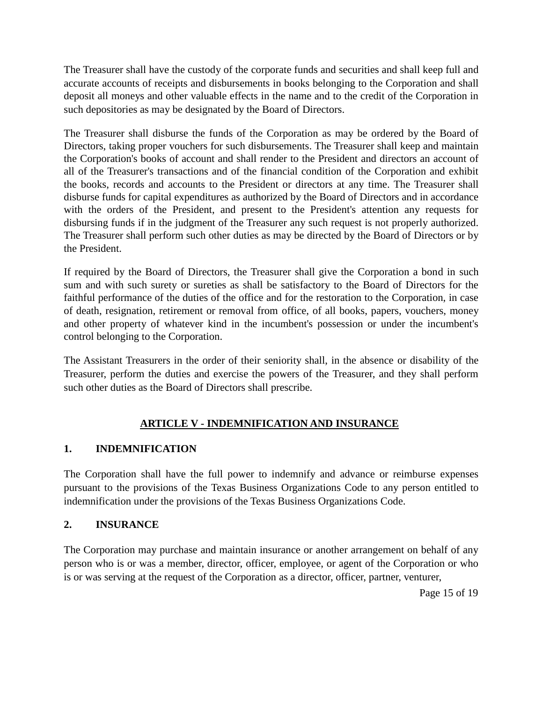The Treasurer shall have the custody of the corporate funds and securities and shall keep full and accurate accounts of receipts and disbursements in books belonging to the Corporation and shall deposit all moneys and other valuable effects in the name and to the credit of the Corporation in such depositories as may be designated by the Board of Directors.

The Treasurer shall disburse the funds of the Corporation as may be ordered by the Board of Directors, taking proper vouchers for such disbursements. The Treasurer shall keep and maintain the Corporation's books of account and shall render to the President and directors an account of all of the Treasurer's transactions and of the financial condition of the Corporation and exhibit the books, records and accounts to the President or directors at any time. The Treasurer shall disburse funds for capital expenditures as authorized by the Board of Directors and in accordance with the orders of the President, and present to the President's attention any requests for disbursing funds if in the judgment of the Treasurer any such request is not properly authorized. The Treasurer shall perform such other duties as may be directed by the Board of Directors or by the President.

If required by the Board of Directors, the Treasurer shall give the Corporation a bond in such sum and with such surety or sureties as shall be satisfactory to the Board of Directors for the faithful performance of the duties of the office and for the restoration to the Corporation, in case of death, resignation, retirement or removal from office, of all books, papers, vouchers, money and other property of whatever kind in the incumbent's possession or under the incumbent's control belonging to the Corporation.

The Assistant Treasurers in the order of their seniority shall, in the absence or disability of the Treasurer, perform the duties and exercise the powers of the Treasurer, and they shall perform such other duties as the Board of Directors shall prescribe.

## **ARTICLE V - INDEMNIFICATION AND INSURANCE**

## **1. INDEMNIFICATION**

The Corporation shall have the full power to indemnify and advance or reimburse expenses pursuant to the provisions of the Texas Business Organizations Code to any person entitled to indemnification under the provisions of the Texas Business Organizations Code.

#### **2. INSURANCE**

The Corporation may purchase and maintain insurance or another arrangement on behalf of any person who is or was a member, director, officer, employee, or agent of the Corporation or who is or was serving at the request of the Corporation as a director, officer, partner, venturer,

Page 15 of 19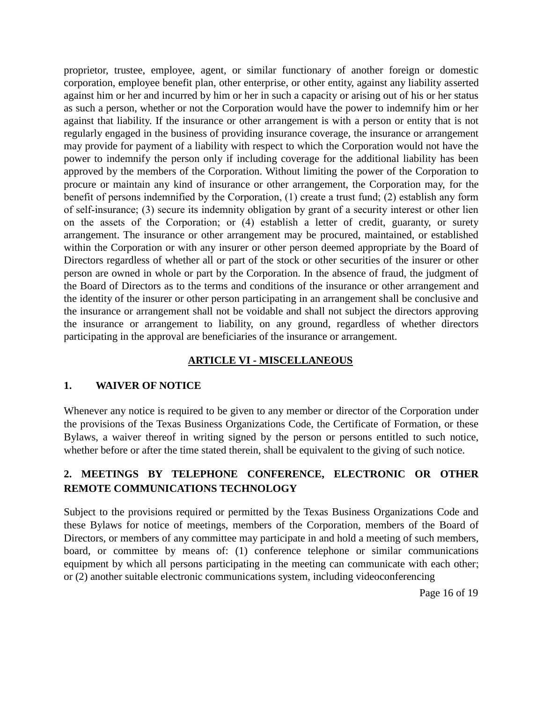proprietor, trustee, employee, agent, or similar functionary of another foreign or domestic corporation, employee benefit plan, other enterprise, or other entity, against any liability asserted against him or her and incurred by him or her in such a capacity or arising out of his or her status as such a person, whether or not the Corporation would have the power to indemnify him or her against that liability. If the insurance or other arrangement is with a person or entity that is not regularly engaged in the business of providing insurance coverage, the insurance or arrangement may provide for payment of a liability with respect to which the Corporation would not have the power to indemnify the person only if including coverage for the additional liability has been approved by the members of the Corporation. Without limiting the power of the Corporation to procure or maintain any kind of insurance or other arrangement, the Corporation may, for the benefit of persons indemnified by the Corporation, (1) create a trust fund; (2) establish any form of self-insurance; (3) secure its indemnity obligation by grant of a security interest or other lien on the assets of the Corporation; or (4) establish a letter of credit, guaranty, or surety arrangement. The insurance or other arrangement may be procured, maintained, or established within the Corporation or with any insurer or other person deemed appropriate by the Board of Directors regardless of whether all or part of the stock or other securities of the insurer or other person are owned in whole or part by the Corporation. In the absence of fraud, the judgment of the Board of Directors as to the terms and conditions of the insurance or other arrangement and the identity of the insurer or other person participating in an arrangement shall be conclusive and the insurance or arrangement shall not be voidable and shall not subject the directors approving the insurance or arrangement to liability, on any ground, regardless of whether directors participating in the approval are beneficiaries of the insurance or arrangement.

#### **ARTICLE VI - MISCELLANEOUS**

#### **1. WAIVER OF NOTICE**

Whenever any notice is required to be given to any member or director of the Corporation under the provisions of the Texas Business Organizations Code, the Certificate of Formation, or these Bylaws, a waiver thereof in writing signed by the person or persons entitled to such notice, whether before or after the time stated therein, shall be equivalent to the giving of such notice.

## **2. MEETINGS BY TELEPHONE CONFERENCE, ELECTRONIC OR OTHER REMOTE COMMUNICATIONS TECHNOLOGY**

Subject to the provisions required or permitted by the Texas Business Organizations Code and these Bylaws for notice of meetings, members of the Corporation, members of the Board of Directors, or members of any committee may participate in and hold a meeting of such members, board, or committee by means of: (1) conference telephone or similar communications equipment by which all persons participating in the meeting can communicate with each other; or (2) another suitable electronic communications system, including videoconferencing

Page 16 of 19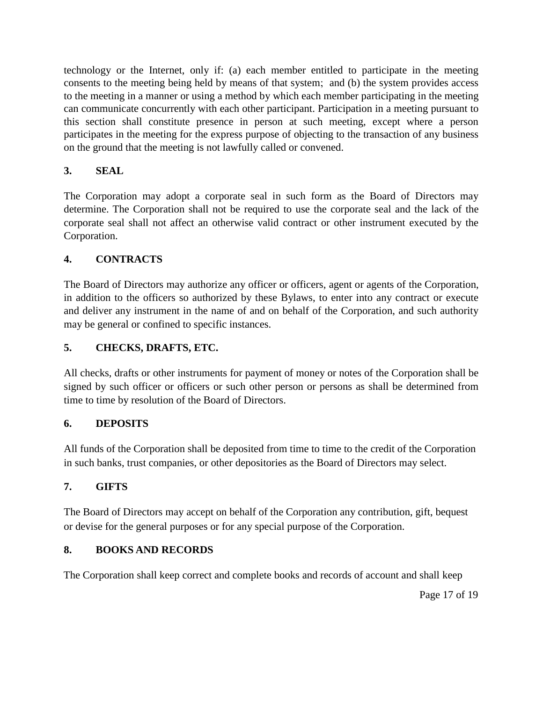technology or the Internet, only if: (a) each member entitled to participate in the meeting consents to the meeting being held by means of that system; and (b) the system provides access to the meeting in a manner or using a method by which each member participating in the meeting can communicate concurrently with each other participant. Participation in a meeting pursuant to this section shall constitute presence in person at such meeting, except where a person participates in the meeting for the express purpose of objecting to the transaction of any business on the ground that the meeting is not lawfully called or convened.

# **3. SEAL**

The Corporation may adopt a corporate seal in such form as the Board of Directors may determine. The Corporation shall not be required to use the corporate seal and the lack of the corporate seal shall not affect an otherwise valid contract or other instrument executed by the Corporation.

## **4. CONTRACTS**

The Board of Directors may authorize any officer or officers, agent or agents of the Corporation, in addition to the officers so authorized by these Bylaws, to enter into any contract or execute and deliver any instrument in the name of and on behalf of the Corporation, and such authority may be general or confined to specific instances.

## **5. CHECKS, DRAFTS, ETC.**

All checks, drafts or other instruments for payment of money or notes of the Corporation shall be signed by such officer or officers or such other person or persons as shall be determined from time to time by resolution of the Board of Directors.

## **6. DEPOSITS**

All funds of the Corporation shall be deposited from time to time to the credit of the Corporation in such banks, trust companies, or other depositories as the Board of Directors may select.

# **7. GIFTS**

The Board of Directors may accept on behalf of the Corporation any contribution, gift, bequest or devise for the general purposes or for any special purpose of the Corporation.

## **8. BOOKS AND RECORDS**

The Corporation shall keep correct and complete books and records of account and shall keep

Page 17 of 19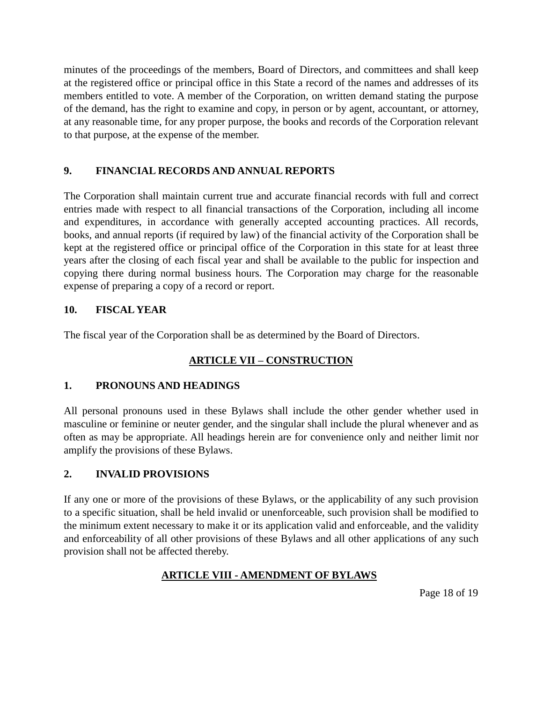minutes of the proceedings of the members, Board of Directors, and committees and shall keep at the registered office or principal office in this State a record of the names and addresses of its members entitled to vote. A member of the Corporation, on written demand stating the purpose of the demand, has the right to examine and copy, in person or by agent, accountant, or attorney, at any reasonable time, for any proper purpose, the books and records of the Corporation relevant to that purpose, at the expense of the member.

# **9. FINANCIAL RECORDS AND ANNUAL REPORTS**

The Corporation shall maintain current true and accurate financial records with full and correct entries made with respect to all financial transactions of the Corporation, including all income and expenditures, in accordance with generally accepted accounting practices. All records, books, and annual reports (if required by law) of the financial activity of the Corporation shall be kept at the registered office or principal office of the Corporation in this state for at least three years after the closing of each fiscal year and shall be available to the public for inspection and copying there during normal business hours. The Corporation may charge for the reasonable expense of preparing a copy of a record or report.

## **10. FISCAL YEAR**

The fiscal year of the Corporation shall be as determined by the Board of Directors.

# **ARTICLE VII – CONSTRUCTION**

#### **1. PRONOUNS AND HEADINGS**

All personal pronouns used in these Bylaws shall include the other gender whether used in masculine or feminine or neuter gender, and the singular shall include the plural whenever and as often as may be appropriate. All headings herein are for convenience only and neither limit nor amplify the provisions of these Bylaws.

#### **2. INVALID PROVISIONS**

If any one or more of the provisions of these Bylaws, or the applicability of any such provision to a specific situation, shall be held invalid or unenforceable, such provision shall be modified to the minimum extent necessary to make it or its application valid and enforceable, and the validity and enforceability of all other provisions of these Bylaws and all other applications of any such provision shall not be affected thereby.

#### **ARTICLE VIII - AMENDMENT OF BYLAWS**

Page 18 of 19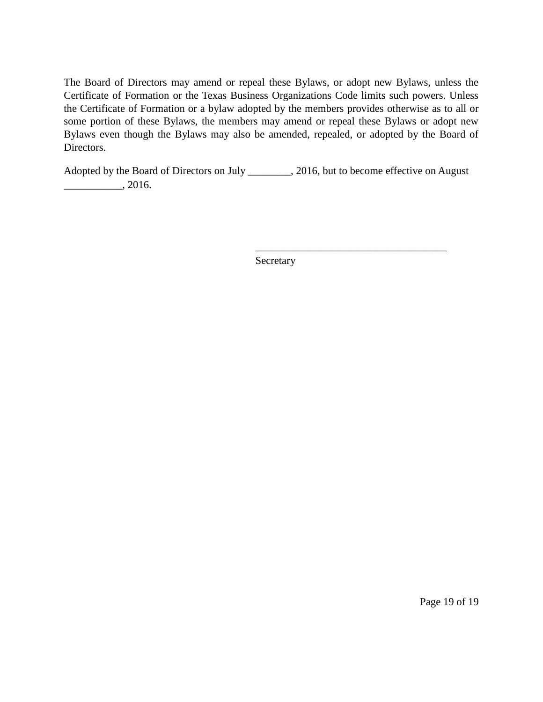The Board of Directors may amend or repeal these Bylaws, or adopt new Bylaws, unless the Certificate of Formation or the Texas Business Organizations Code limits such powers. Unless the Certificate of Formation or a bylaw adopted by the members provides otherwise as to all or some portion of these Bylaws, the members may amend or repeal these Bylaws or adopt new Bylaws even though the Bylaws may also be amended, repealed, or adopted by the Board of Directors.

Adopted by the Board of Directors on July \_\_\_\_\_\_\_\_, 2016, but to become effective on August  $\frac{1}{2016}$ .

Secretary

\_\_\_\_\_\_\_\_\_\_\_\_\_\_\_\_\_\_\_\_\_\_\_\_\_\_\_\_\_\_\_\_\_\_\_\_